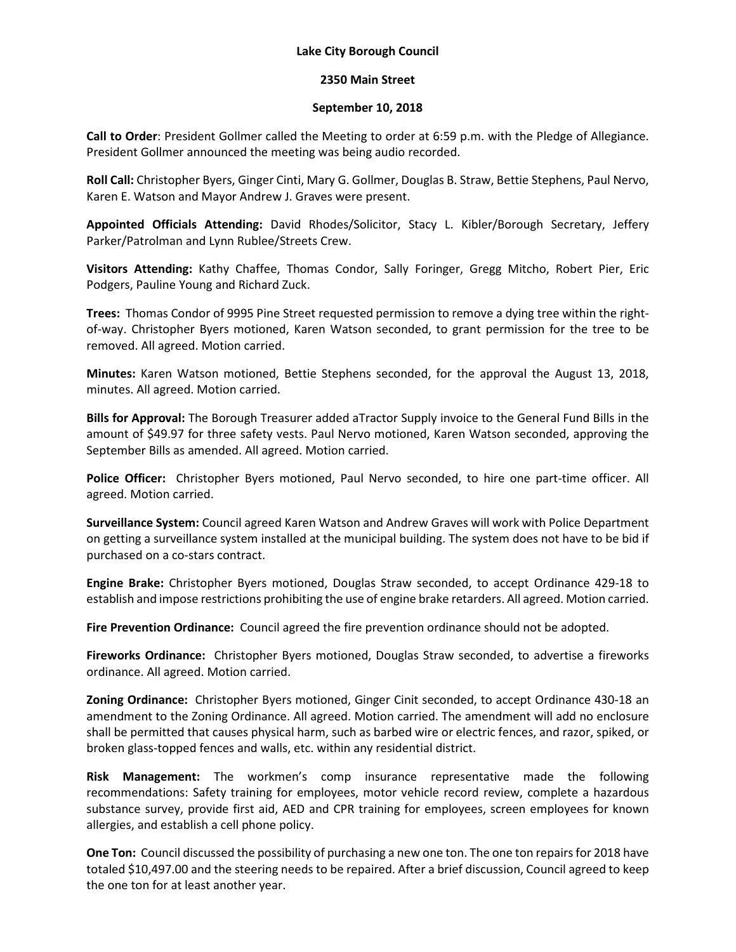## **Lake City Borough Council**

## **2350 Main Street**

## **September 10, 2018**

**Call to Order**: President Gollmer called the Meeting to order at 6:59 p.m. with the Pledge of Allegiance. President Gollmer announced the meeting was being audio recorded.

**Roll Call:** Christopher Byers, Ginger Cinti, Mary G. Gollmer, Douglas B. Straw, Bettie Stephens, Paul Nervo, Karen E. Watson and Mayor Andrew J. Graves were present.

**Appointed Officials Attending:** David Rhodes/Solicitor, Stacy L. Kibler/Borough Secretary, Jeffery Parker/Patrolman and Lynn Rublee/Streets Crew.

**Visitors Attending:** Kathy Chaffee, Thomas Condor, Sally Foringer, Gregg Mitcho, Robert Pier, Eric Podgers, Pauline Young and Richard Zuck.

**Trees:** Thomas Condor of 9995 Pine Street requested permission to remove a dying tree within the rightof-way. Christopher Byers motioned, Karen Watson seconded, to grant permission for the tree to be removed. All agreed. Motion carried.

**Minutes:** Karen Watson motioned, Bettie Stephens seconded, for the approval the August 13, 2018, minutes. All agreed. Motion carried.

**Bills for Approval:** The Borough Treasurer added aTractor Supply invoice to the General Fund Bills in the amount of \$49.97 for three safety vests. Paul Nervo motioned, Karen Watson seconded, approving the September Bills as amended. All agreed. Motion carried.

**Police Officer:** Christopher Byers motioned, Paul Nervo seconded, to hire one part-time officer. All agreed. Motion carried.

**Surveillance System:** Council agreed Karen Watson and Andrew Graves will work with Police Department on getting a surveillance system installed at the municipal building. The system does not have to be bid if purchased on a co-stars contract.

**Engine Brake:** Christopher Byers motioned, Douglas Straw seconded, to accept Ordinance 429-18 to establish and impose restrictions prohibiting the use of engine brake retarders. All agreed. Motion carried.

**Fire Prevention Ordinance:** Council agreed the fire prevention ordinance should not be adopted.

**Fireworks Ordinance:** Christopher Byers motioned, Douglas Straw seconded, to advertise a fireworks ordinance. All agreed. Motion carried.

**Zoning Ordinance:** Christopher Byers motioned, Ginger Cinit seconded, to accept Ordinance 430-18 an amendment to the Zoning Ordinance. All agreed. Motion carried. The amendment will add no enclosure shall be permitted that causes physical harm, such as barbed wire or electric fences, and razor, spiked, or broken glass-topped fences and walls, etc. within any residential district.

**Risk Management:** The workmen's comp insurance representative made the following recommendations: Safety training for employees, motor vehicle record review, complete a hazardous substance survey, provide first aid, AED and CPR training for employees, screen employees for known allergies, and establish a cell phone policy.

**One Ton:** Council discussed the possibility of purchasing a new one ton. The one ton repairs for 2018 have totaled \$10,497.00 and the steering needs to be repaired. After a brief discussion, Council agreed to keep the one ton for at least another year.